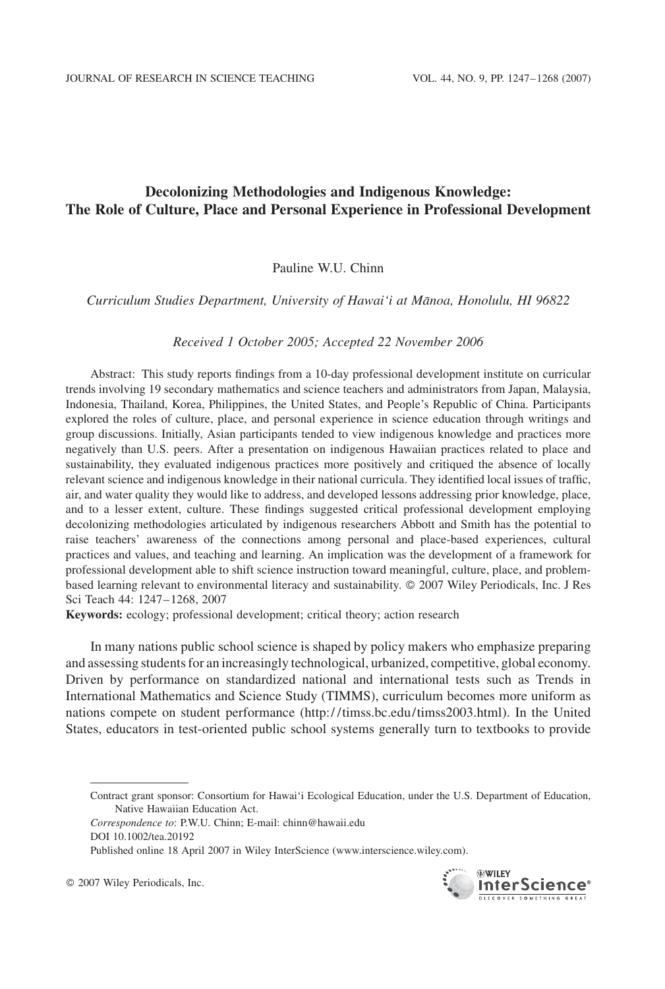# Decolonizing Methodologies and Indigenous Knowledge: The Role of Culture, Place and Personal Experience in Professional Development

# Pauline W.U. Chinn

Curriculum Studies Department, University of Hawai'i at Mānoa, Honolulu, HI 96822

Received 1 October 2005; Accepted 22 November 2006

Abstract: This study reports findings from a 10-day professional development institute on curricular trends involving 19 secondary mathematics and science teachers and administrators from Japan, Malaysia, Indonesia, Thailand, Korea, Philippines, the United States, and People's Republic of China. Participants explored the roles of culture, place, and personal experience in science education through writings and group discussions. Initially, Asian participants tended to view indigenous knowledge and practices more negatively than U.S. peers. After a presentation on indigenous Hawaiian practices related to place and sustainability, they evaluated indigenous practices more positively and critiqued the absence of locally relevant science and indigenous knowledge in their national curricula. They identified local issues of traffic, air, and water quality they would like to address, and developed lessons addressing prior knowledge, place, and to a lesser extent, culture. These findings suggested critical professional development employing decolonizing methodologies articulated by indigenous researchers Abbott and Smith has the potential to raise teachers' awareness of the connections among personal and place-based experiences, cultural practices and values, and teaching and learning. An implication was the development of a framework for professional development able to shift science instruction toward meaningful, culture, place, and problembased learning relevant to environmental literacy and sustainability.  $\oslash$  2007 Wiley Periodicals, Inc. J Res Sci Teach 44: 1247–1268, 2007

Keywords: ecology; professional development; critical theory; action research

In many nations public school science is shaped by policy makers who emphasize preparing and assessing students for an increasingly technological, urbanized, competitive, global economy. Driven by performance on standardized national and international tests such as Trends in International Mathematics and Science Study (TIMMS), curriculum becomes more uniform as nations compete on student performance (http:/ /timss.bc.edu/timss2003.html). In the United States, educators in test-oriented public school systems generally turn to textbooks to provide

2007 Wiley Periodicals, Inc.



Contract grant sponsor: Consortium for Hawai'i Ecological Education, under the U.S. Department of Education, Native Hawaiian Education Act.

Correspondence to: P.W.U. Chinn; E-mail: chinn@hawaii.edu

DOI 10.1002/tea.20192

Published online 18 April 2007 in Wiley InterScience (www.interscience.wiley.com).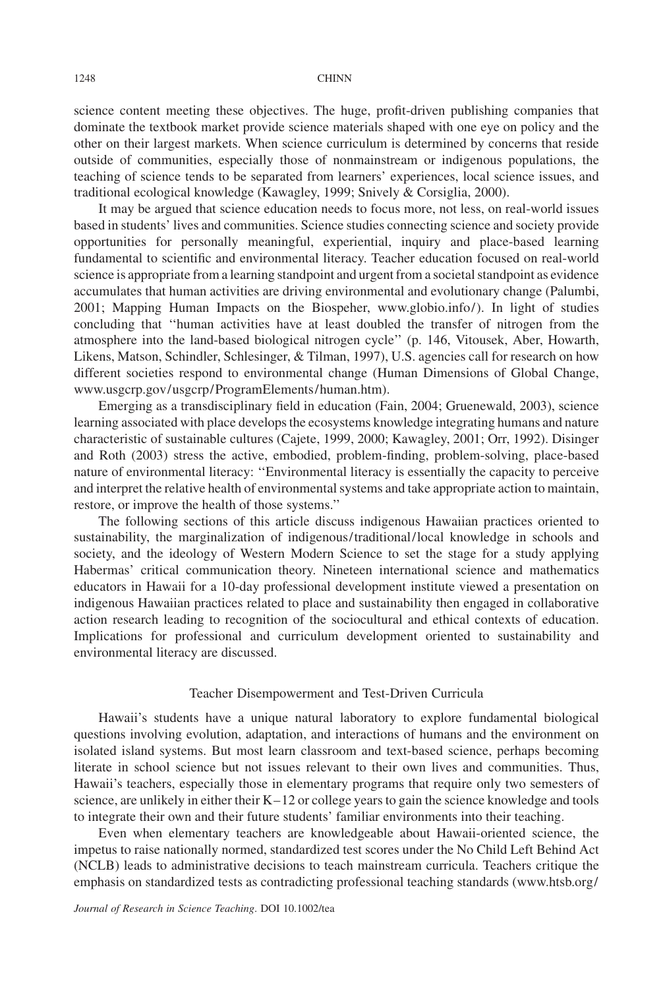science content meeting these objectives. The huge, profit-driven publishing companies that dominate the textbook market provide science materials shaped with one eye on policy and the other on their largest markets. When science curriculum is determined by concerns that reside outside of communities, especially those of nonmainstream or indigenous populations, the teaching of science tends to be separated from learners' experiences, local science issues, and traditional ecological knowledge (Kawagley, 1999; Snively & Corsiglia, 2000).

It may be argued that science education needs to focus more, not less, on real-world issues based in students' lives and communities. Science studies connecting science and society provide opportunities for personally meaningful, experiential, inquiry and place-based learning fundamental to scientific and environmental literacy. Teacher education focused on real-world science is appropriate from a learning standpoint and urgent from a societal standpoint as evidence accumulates that human activities are driving environmental and evolutionary change (Palumbi, 2001; Mapping Human Impacts on the Biospeher, www.globio.info/). In light of studies concluding that ''human activities have at least doubled the transfer of nitrogen from the atmosphere into the land-based biological nitrogen cycle'' (p. 146, Vitousek, Aber, Howarth, Likens, Matson, Schindler, Schlesinger, & Tilman, 1997), U.S. agencies call for research on how different societies respond to environmental change (Human Dimensions of Global Change, www.usgcrp.gov/usgcrp/ProgramElements/human.htm).

Emerging as a transdisciplinary field in education (Fain, 2004; Gruenewald, 2003), science learning associated with place develops the ecosystems knowledge integrating humans and nature characteristic of sustainable cultures (Cajete, 1999, 2000; Kawagley, 2001; Orr, 1992). Disinger and Roth (2003) stress the active, embodied, problem-finding, problem-solving, place-based nature of environmental literacy: ''Environmental literacy is essentially the capacity to perceive and interpret the relative health of environmental systems and take appropriate action to maintain, restore, or improve the health of those systems.''

The following sections of this article discuss indigenous Hawaiian practices oriented to sustainability, the marginalization of indigenous/traditional/local knowledge in schools and society, and the ideology of Western Modern Science to set the stage for a study applying Habermas' critical communication theory. Nineteen international science and mathematics educators in Hawaii for a 10-day professional development institute viewed a presentation on indigenous Hawaiian practices related to place and sustainability then engaged in collaborative action research leading to recognition of the sociocultural and ethical contexts of education. Implications for professional and curriculum development oriented to sustainability and environmental literacy are discussed.

### Teacher Disempowerment and Test-Driven Curricula

Hawaii's students have a unique natural laboratory to explore fundamental biological questions involving evolution, adaptation, and interactions of humans and the environment on isolated island systems. But most learn classroom and text-based science, perhaps becoming literate in school science but not issues relevant to their own lives and communities. Thus, Hawaii's teachers, especially those in elementary programs that require only two semesters of science, are unlikely in either their K–12 or college years to gain the science knowledge and tools to integrate their own and their future students' familiar environments into their teaching.

Even when elementary teachers are knowledgeable about Hawaii-oriented science, the impetus to raise nationally normed, standardized test scores under the No Child Left Behind Act (NCLB) leads to administrative decisions to teach mainstream curricula. Teachers critique the emphasis on standardized tests as contradicting professional teaching standards (www.htsb.org/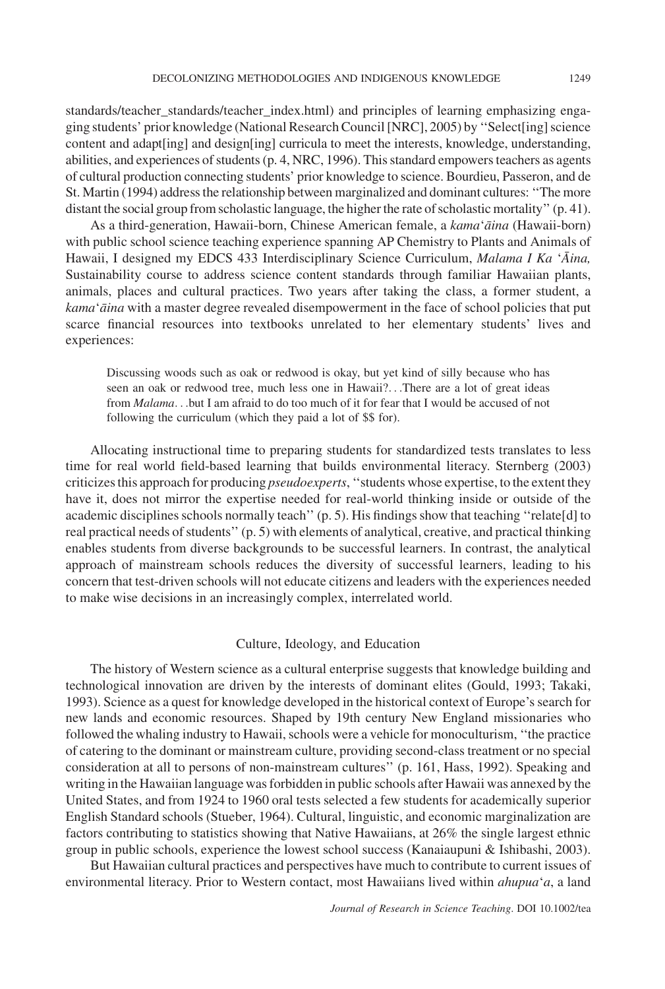standards/teacher\_standards/teacher\_index.html) and principles of learning emphasizing engaging students' prior knowledge (National Research Council [NRC], 2005) by ''Select[ing] science content and adapt[ing] and design[ing] curricula to meet the interests, knowledge, understanding, abilities, and experiences of students (p. 4, NRC, 1996). This standard empowers teachers as agents of cultural production connecting students' prior knowledge to science. Bourdieu, Passeron, and de St. Martin (1994) address the relationship between marginalized and dominant cultures: ''The more distant the social group from scholastic language, the higher the rate of scholastic mortality'' (p. 41).

As a third-generation, Hawaii-born, Chinese American female, a kama'a $\bar{a}$ ina (Hawaii-born) with public school science teaching experience spanning AP Chemistry to Plants and Animals of Hawaii, I designed my EDCS 433 Interdisciplinary Science Curriculum, *Malama I Ka* ' $\overline{A}$ *ina*, Sustainability course to address science content standards through familiar Hawaiian plants, animals, places and cultural practices. Two years after taking the class, a former student, a  $kama'āina$  with a master degree revealed disempowerment in the face of school policies that put scarce financial resources into textbooks unrelated to her elementary students' lives and experiences:

Discussing woods such as oak or redwood is okay, but yet kind of silly because who has seen an oak or redwood tree, much less one in Hawaii?...There are a lot of great ideas from Malama...but I am afraid to do too much of it for fear that I would be accused of not following the curriculum (which they paid a lot of \$\$ for).

Allocating instructional time to preparing students for standardized tests translates to less time for real world field-based learning that builds environmental literacy. Sternberg (2003) criticizes this approach for producing pseudoexperts, ''students whose expertise, to the extent they have it, does not mirror the expertise needed for real-world thinking inside or outside of the academic disciplines schools normally teach'' (p. 5). His findings show that teaching ''relate[d] to real practical needs of students'' (p. 5) with elements of analytical, creative, and practical thinking enables students from diverse backgrounds to be successful learners. In contrast, the analytical approach of mainstream schools reduces the diversity of successful learners, leading to his concern that test-driven schools will not educate citizens and leaders with the experiences needed to make wise decisions in an increasingly complex, interrelated world.

# Culture, Ideology, and Education

The history of Western science as a cultural enterprise suggests that knowledge building and technological innovation are driven by the interests of dominant elites (Gould, 1993; Takaki, 1993). Science as a quest for knowledge developed in the historical context of Europe's search for new lands and economic resources. Shaped by 19th century New England missionaries who followed the whaling industry to Hawaii, schools were a vehicle for monoculturism, ''the practice of catering to the dominant or mainstream culture, providing second-class treatment or no special consideration at all to persons of non-mainstream cultures'' (p. 161, Hass, 1992). Speaking and writing in the Hawaiian language was forbidden in public schools after Hawaii was annexed by the United States, and from 1924 to 1960 oral tests selected a few students for academically superior English Standard schools (Stueber, 1964). Cultural, linguistic, and economic marginalization are factors contributing to statistics showing that Native Hawaiians, at 26% the single largest ethnic group in public schools, experience the lowest school success (Kanaiaupuni & Ishibashi, 2003).

But Hawaiian cultural practices and perspectives have much to contribute to current issues of environmental literacy. Prior to Western contact, most Hawaiians lived within  $\alpha h$ upua<sup> $\alpha$ </sup>, a land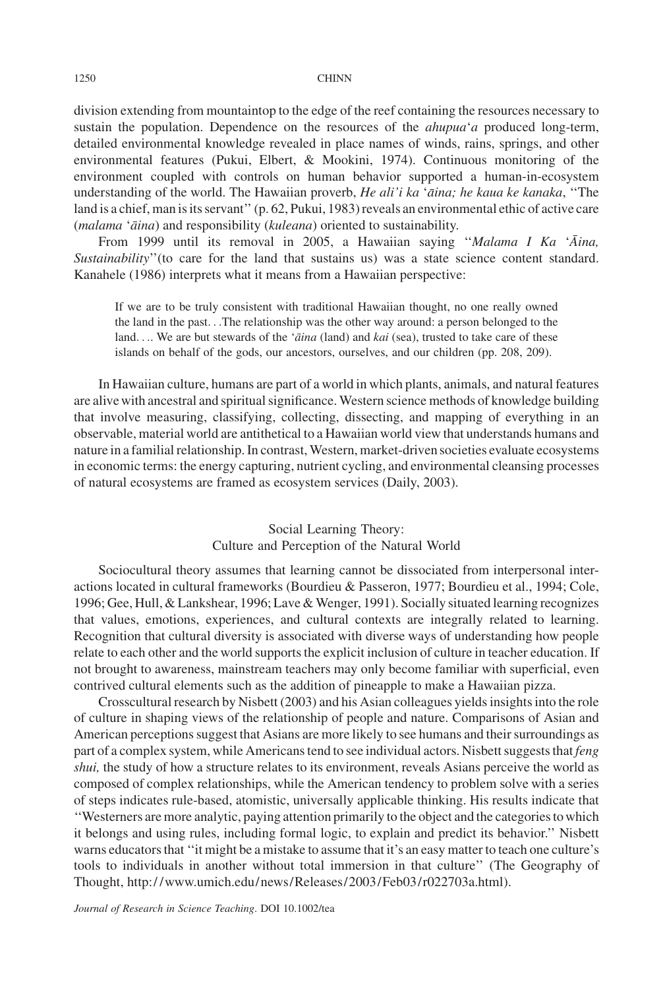division extending from mountaintop to the edge of the reef containing the resources necessary to sustain the population. Dependence on the resources of the *ahupua*'a produced long-term, detailed environmental knowledge revealed in place names of winds, rains, springs, and other environmental features (Pukui, Elbert, & Mookini, 1974). Continuous monitoring of the environment coupled with controls on human behavior supported a human-in-ecosystem understanding of the world. The Hawaiian proverb, He ali'i ka 'āina; he kaua ke kanaka, "The land is a chief, man is its servant'' (p. 62, Pukui, 1983) reveals an environmental ethic of active care  $(malama 'āina)$  and responsibility  $(kuleana)$  oriented to sustainability.

From 1999 until its removal in 2005, a Hawaiian saying "Malama I Ka ' $\bar{A}$ ina, Sustainability" (to care for the land that sustains us) was a state science content standard. Kanahele (1986) interprets what it means from a Hawaiian perspective:

If we are to be truly consistent with traditional Hawaiian thought, no one really owned the land in the past...The relationship was the other way around: a person belonged to the land.... We are but stewards of the ' $\bar{a}$ ina (land) and kai (sea), trusted to take care of these islands on behalf of the gods, our ancestors, ourselves, and our children (pp. 208, 209).

In Hawaiian culture, humans are part of a world in which plants, animals, and natural features are alive with ancestral and spiritual significance. Western science methods of knowledge building that involve measuring, classifying, collecting, dissecting, and mapping of everything in an observable, material world are antithetical to a Hawaiian world view that understands humans and nature in a familial relationship. In contrast, Western, market-driven societies evaluate ecosystems in economic terms: the energy capturing, nutrient cycling, and environmental cleansing processes of natural ecosystems are framed as ecosystem services (Daily, 2003).

# Social Learning Theory: Culture and Perception of the Natural World

Sociocultural theory assumes that learning cannot be dissociated from interpersonal interactions located in cultural frameworks (Bourdieu & Passeron, 1977; Bourdieu et al., 1994; Cole, 1996; Gee, Hull, & Lankshear, 1996; Lave & Wenger, 1991). Socially situated learning recognizes that values, emotions, experiences, and cultural contexts are integrally related to learning. Recognition that cultural diversity is associated with diverse ways of understanding how people relate to each other and the world supports the explicit inclusion of culture in teacher education. If not brought to awareness, mainstream teachers may only become familiar with superficial, even contrived cultural elements such as the addition of pineapple to make a Hawaiian pizza.

Crosscultural research by Nisbett (2003) and his Asian colleagues yields insights into the role of culture in shaping views of the relationship of people and nature. Comparisons of Asian and American perceptions suggest that Asians are more likely to see humans and their surroundings as part of a complex system, while Americans tend to see individual actors. Nisbett suggests that *feng* shui, the study of how a structure relates to its environment, reveals Asians perceive the world as composed of complex relationships, while the American tendency to problem solve with a series of steps indicates rule-based, atomistic, universally applicable thinking. His results indicate that ''Westerners are more analytic, paying attention primarily to the object and the categories to which it belongs and using rules, including formal logic, to explain and predict its behavior.'' Nisbett warns educators that ''it might be a mistake to assume that it's an easy matter to teach one culture's tools to individuals in another without total immersion in that culture'' (The Geography of Thought, http:/ /www.umich.edu/news/Releases/2003/Feb03/r022703a.html).

Journal of Research in Science Teaching. DOI 10.1002/tea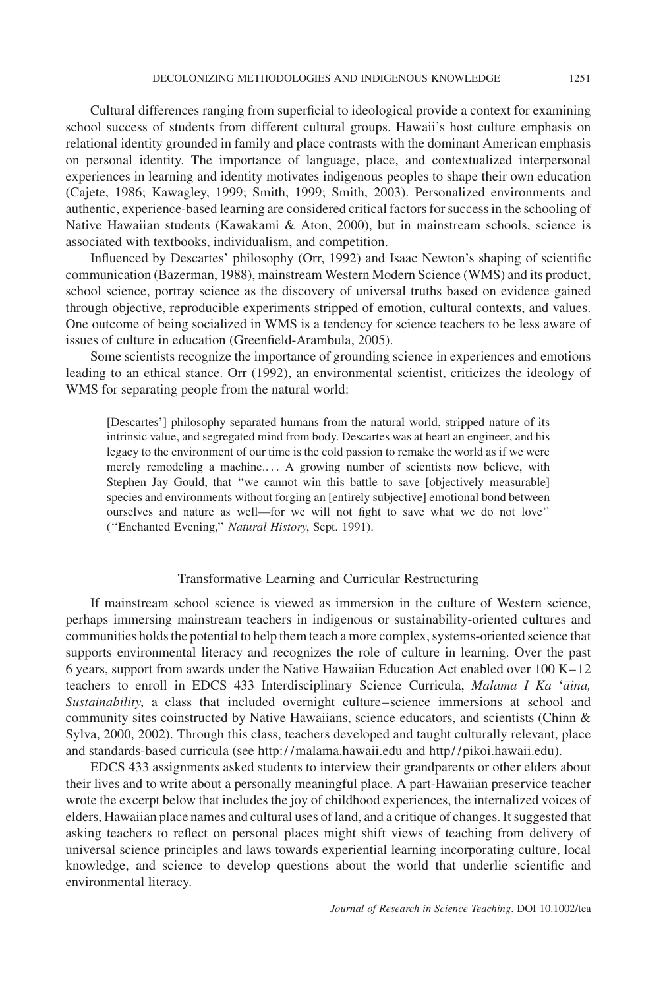Cultural differences ranging from superficial to ideological provide a context for examining school success of students from different cultural groups. Hawaii's host culture emphasis on relational identity grounded in family and place contrasts with the dominant American emphasis on personal identity. The importance of language, place, and contextualized interpersonal experiences in learning and identity motivates indigenous peoples to shape their own education (Cajete, 1986; Kawagley, 1999; Smith, 1999; Smith, 2003). Personalized environments and authentic, experience-based learning are considered critical factors for success in the schooling of Native Hawaiian students (Kawakami & Aton, 2000), but in mainstream schools, science is associated with textbooks, individualism, and competition.

Influenced by Descartes' philosophy (Orr, 1992) and Isaac Newton's shaping of scientific communication (Bazerman, 1988), mainstream Western Modern Science (WMS) and its product, school science, portray science as the discovery of universal truths based on evidence gained through objective, reproducible experiments stripped of emotion, cultural contexts, and values. One outcome of being socialized in WMS is a tendency for science teachers to be less aware of issues of culture in education (Greenfield-Arambula, 2005).

Some scientists recognize the importance of grounding science in experiences and emotions leading to an ethical stance. Orr (1992), an environmental scientist, criticizes the ideology of WMS for separating people from the natural world:

[Descartes'] philosophy separated humans from the natural world, stripped nature of its intrinsic value, and segregated mind from body. Descartes was at heart an engineer, and his legacy to the environment of our time is the cold passion to remake the world as if we were merely remodeling a machine.... A growing number of scientists now believe, with Stephen Jay Gould, that ''we cannot win this battle to save [objectively measurable] species and environments without forging an [entirely subjective] emotional bond between ourselves and nature as well—for we will not fight to save what we do not love'' (''Enchanted Evening,'' Natural History, Sept. 1991).

# Transformative Learning and Curricular Restructuring

If mainstream school science is viewed as immersion in the culture of Western science, perhaps immersing mainstream teachers in indigenous or sustainability-oriented cultures and communities holds the potential to help them teach a more complex, systems-oriented science that supports environmental literacy and recognizes the role of culture in learning. Over the past 6 years, support from awards under the Native Hawaiian Education Act enabled over 100 K–12 teachers to enroll in EDCS 433 Interdisciplinary Science Curricula, Malama I Ka 'āina, Sustainability, a class that included overnight culture–science immersions at school and community sites coinstructed by Native Hawaiians, science educators, and scientists (Chinn & Sylva, 2000, 2002). Through this class, teachers developed and taught culturally relevant, place and standards-based curricula (see http:/ /malama.hawaii.edu and http/ /pikoi.hawaii.edu).

EDCS 433 assignments asked students to interview their grandparents or other elders about their lives and to write about a personally meaningful place. A part-Hawaiian preservice teacher wrote the excerpt below that includes the joy of childhood experiences, the internalized voices of elders, Hawaiian place names and cultural uses of land, and a critique of changes. It suggested that asking teachers to reflect on personal places might shift views of teaching from delivery of universal science principles and laws towards experiential learning incorporating culture, local knowledge, and science to develop questions about the world that underlie scientific and environmental literacy.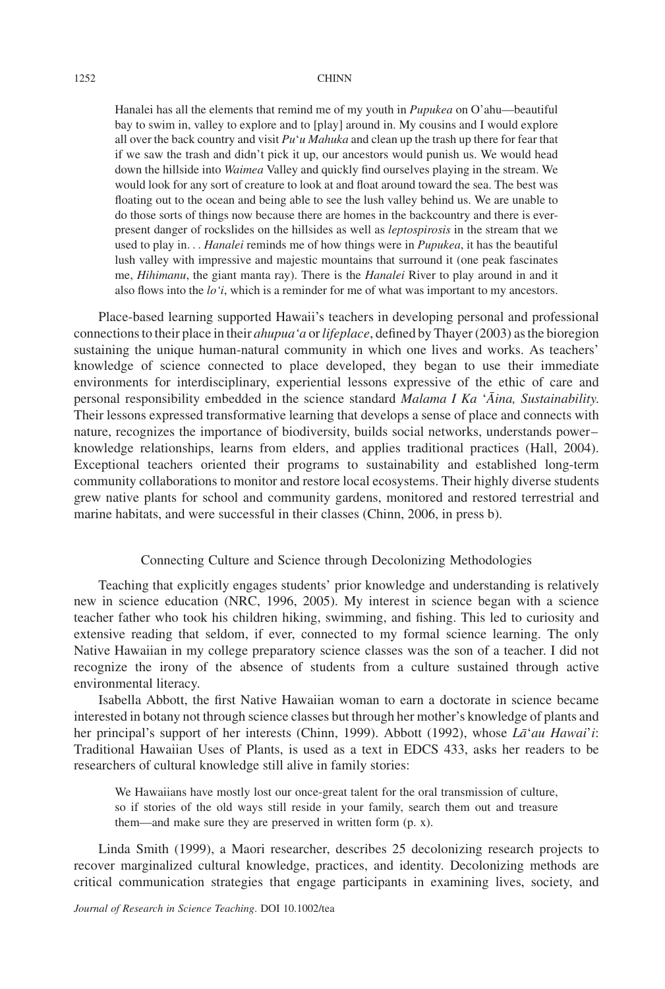Hanalei has all the elements that remind me of my youth in *Pupukea* on O'ahu—beautiful bay to swim in, valley to explore and to [play] around in. My cousins and I would explore all over the back country and visit  $Pu'u Mahuka$  and clean up the trash up there for fear that if we saw the trash and didn't pick it up, our ancestors would punish us. We would head down the hillside into Waimea Valley and quickly find ourselves playing in the stream. We would look for any sort of creature to look at and float around toward the sea. The best was floating out to the ocean and being able to see the lush valley behind us. We are unable to do those sorts of things now because there are homes in the backcountry and there is everpresent danger of rockslides on the hillsides as well as leptospirosis in the stream that we used to play in. . . Hanalei reminds me of how things were in Pupukea, it has the beautiful lush valley with impressive and majestic mountains that surround it (one peak fascinates me, *Hihimanu*, the giant manta ray). There is the *Hanalei* River to play around in and it also flows into the  $lo'i$ , which is a reminder for me of what was important to my ancestors.

Place-based learning supported Hawaii's teachers in developing personal and professional connections to their place in their *ahupua'a* or *lifeplace*, defined by Thayer (2003) as the bioregion sustaining the unique human-natural community in which one lives and works. As teachers' knowledge of science connected to place developed, they began to use their immediate environments for interdisciplinary, experiential lessons expressive of the ethic of care and personal responsibility embedded in the science standard Malama I Ka 'A $\hat{n}$ a, Sustainability. Their lessons expressed transformative learning that develops a sense of place and connects with nature, recognizes the importance of biodiversity, builds social networks, understands power– knowledge relationships, learns from elders, and applies traditional practices (Hall, 2004). Exceptional teachers oriented their programs to sustainability and established long-term community collaborations to monitor and restore local ecosystems. Their highly diverse students grew native plants for school and community gardens, monitored and restored terrestrial and marine habitats, and were successful in their classes (Chinn, 2006, in press b).

# Connecting Culture and Science through Decolonizing Methodologies

Teaching that explicitly engages students' prior knowledge and understanding is relatively new in science education (NRC, 1996, 2005). My interest in science began with a science teacher father who took his children hiking, swimming, and fishing. This led to curiosity and extensive reading that seldom, if ever, connected to my formal science learning. The only Native Hawaiian in my college preparatory science classes was the son of a teacher. I did not recognize the irony of the absence of students from a culture sustained through active environmental literacy.

Isabella Abbott, the first Native Hawaiian woman to earn a doctorate in science became interested in botany not through science classes but through her mother's knowledge of plants and her principal's support of her interests (Chinn, 1999). Abbott (1992), whose La'au Hawai'i: Traditional Hawaiian Uses of Plants, is used as a text in EDCS 433, asks her readers to be researchers of cultural knowledge still alive in family stories:

We Hawaiians have mostly lost our once-great talent for the oral transmission of culture, so if stories of the old ways still reside in your family, search them out and treasure them—and make sure they are preserved in written form  $(p, x)$ .

Linda Smith (1999), a Maori researcher, describes 25 decolonizing research projects to recover marginalized cultural knowledge, practices, and identity. Decolonizing methods are critical communication strategies that engage participants in examining lives, society, and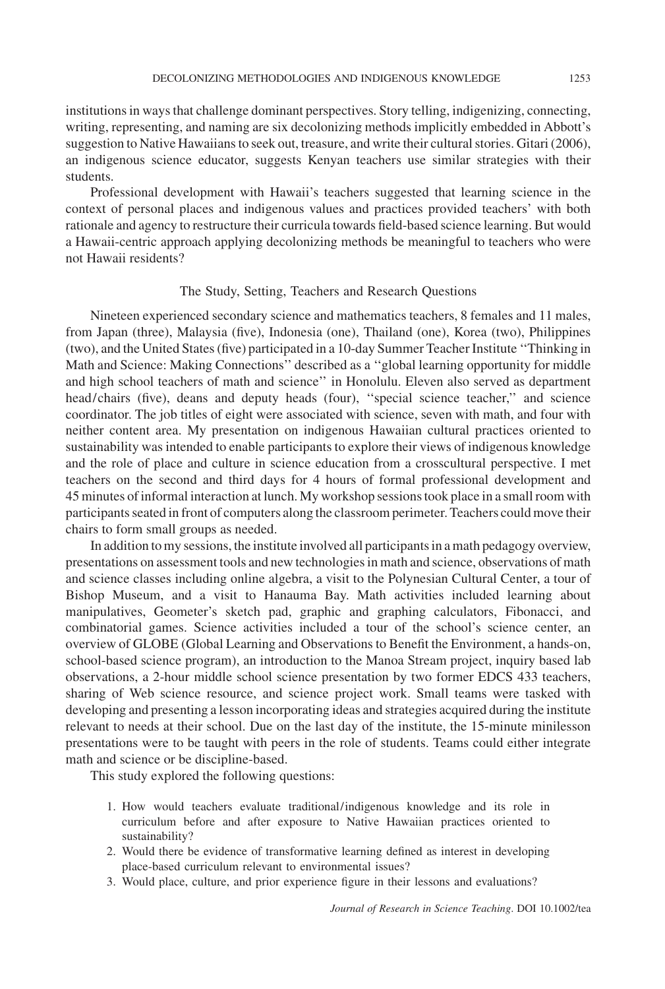institutions in ways that challenge dominant perspectives. Story telling, indigenizing, connecting, writing, representing, and naming are six decolonizing methods implicitly embedded in Abbott's suggestion to Native Hawaiians to seek out, treasure, and write their cultural stories. Gitari (2006), an indigenous science educator, suggests Kenyan teachers use similar strategies with their students.

Professional development with Hawaii's teachers suggested that learning science in the context of personal places and indigenous values and practices provided teachers' with both rationale and agency to restructure their curricula towards field-based science learning. But would a Hawaii-centric approach applying decolonizing methods be meaningful to teachers who were not Hawaii residents?

# The Study, Setting, Teachers and Research Questions

Nineteen experienced secondary science and mathematics teachers, 8 females and 11 males, from Japan (three), Malaysia (five), Indonesia (one), Thailand (one), Korea (two), Philippines (two), and the United States (five) participated in a 10-day Summer Teacher Institute ''Thinking in Math and Science: Making Connections'' described as a ''global learning opportunity for middle and high school teachers of math and science'' in Honolulu. Eleven also served as department head/chairs (five), deans and deputy heads (four), ''special science teacher,'' and science coordinator. The job titles of eight were associated with science, seven with math, and four with neither content area. My presentation on indigenous Hawaiian cultural practices oriented to sustainability was intended to enable participants to explore their views of indigenous knowledge and the role of place and culture in science education from a crosscultural perspective. I met teachers on the second and third days for 4 hours of formal professional development and 45 minutes of informal interaction at lunch. My workshop sessions took place in a small room with participants seated in front of computers along the classroom perimeter. Teachers could move their chairs to form small groups as needed.

In addition to my sessions, the institute involved all participants in a math pedagogy overview, presentations on assessment tools and new technologies in math and science, observations of math and science classes including online algebra, a visit to the Polynesian Cultural Center, a tour of Bishop Museum, and a visit to Hanauma Bay. Math activities included learning about manipulatives, Geometer's sketch pad, graphic and graphing calculators, Fibonacci, and combinatorial games. Science activities included a tour of the school's science center, an overview of GLOBE (Global Learning and Observations to Benefit the Environment, a hands-on, school-based science program), an introduction to the Manoa Stream project, inquiry based lab observations, a 2-hour middle school science presentation by two former EDCS 433 teachers, sharing of Web science resource, and science project work. Small teams were tasked with developing and presenting a lesson incorporating ideas and strategies acquired during the institute relevant to needs at their school. Due on the last day of the institute, the 15-minute minilesson presentations were to be taught with peers in the role of students. Teams could either integrate math and science or be discipline-based.

This study explored the following questions:

- 1. How would teachers evaluate traditional/indigenous knowledge and its role in curriculum before and after exposure to Native Hawaiian practices oriented to sustainability?
- 2. Would there be evidence of transformative learning defined as interest in developing place-based curriculum relevant to environmental issues?
- 3. Would place, culture, and prior experience figure in their lessons and evaluations?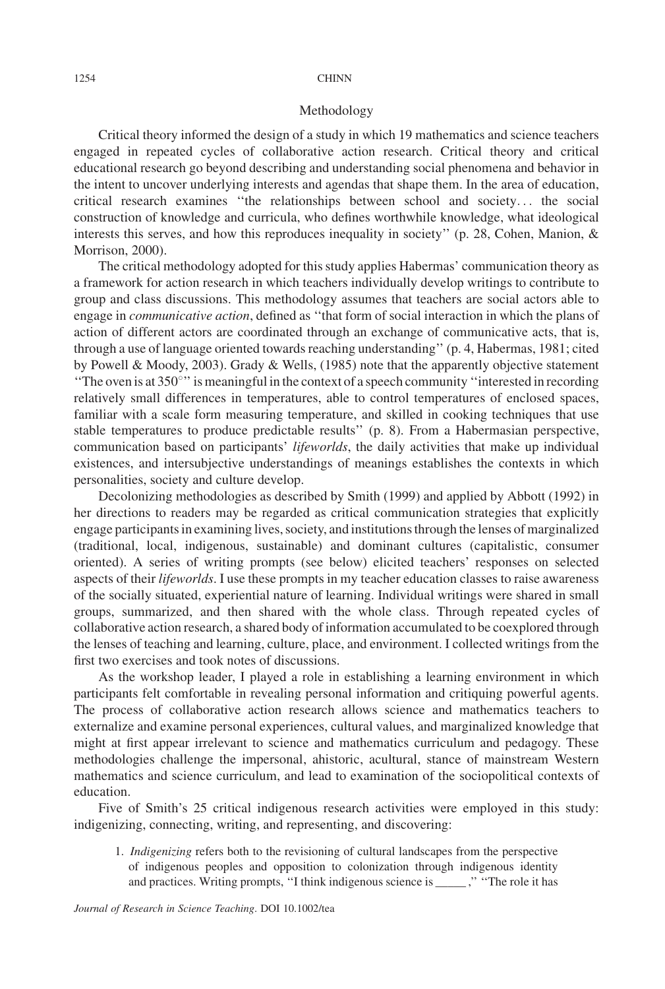### Methodology

Critical theory informed the design of a study in which 19 mathematics and science teachers engaged in repeated cycles of collaborative action research. Critical theory and critical educational research go beyond describing and understanding social phenomena and behavior in the intent to uncover underlying interests and agendas that shape them. In the area of education, critical research examines ''the relationships between school and society... the social construction of knowledge and curricula, who defines worthwhile knowledge, what ideological interests this serves, and how this reproduces inequality in society" (p. 28, Cohen, Manion,  $\&$ Morrison, 2000).

The critical methodology adopted for this study applies Habermas' communication theory as a framework for action research in which teachers individually develop writings to contribute to group and class discussions. This methodology assumes that teachers are social actors able to engage in communicative action, defined as ''that form of social interaction in which the plans of action of different actors are coordinated through an exchange of communicative acts, that is, through a use of language oriented towards reaching understanding'' (p. 4, Habermas, 1981; cited by Powell & Moody, 2003). Grady & Wells, (1985) note that the apparently objective statement ''The oven is at 350*8*'' is meaningful in the context of a speech community ''interested in recording relatively small differences in temperatures, able to control temperatures of enclosed spaces, familiar with a scale form measuring temperature, and skilled in cooking techniques that use stable temperatures to produce predictable results'' (p. 8). From a Habermasian perspective, communication based on participants' lifeworlds, the daily activities that make up individual existences, and intersubjective understandings of meanings establishes the contexts in which personalities, society and culture develop.

Decolonizing methodologies as described by Smith (1999) and applied by Abbott (1992) in her directions to readers may be regarded as critical communication strategies that explicitly engage participants in examining lives, society, and institutions through the lenses of marginalized (traditional, local, indigenous, sustainable) and dominant cultures (capitalistic, consumer oriented). A series of writing prompts (see below) elicited teachers' responses on selected aspects of their lifeworlds. I use these prompts in my teacher education classes to raise awareness of the socially situated, experiential nature of learning. Individual writings were shared in small groups, summarized, and then shared with the whole class. Through repeated cycles of collaborative action research, a shared body of information accumulated to be coexplored through the lenses of teaching and learning, culture, place, and environment. I collected writings from the first two exercises and took notes of discussions.

As the workshop leader, I played a role in establishing a learning environment in which participants felt comfortable in revealing personal information and critiquing powerful agents. The process of collaborative action research allows science and mathematics teachers to externalize and examine personal experiences, cultural values, and marginalized knowledge that might at first appear irrelevant to science and mathematics curriculum and pedagogy. These methodologies challenge the impersonal, ahistoric, acultural, stance of mainstream Western mathematics and science curriculum, and lead to examination of the sociopolitical contexts of education.

Five of Smith's 25 critical indigenous research activities were employed in this study: indigenizing, connecting, writing, and representing, and discovering:

1. Indigenizing refers both to the revisioning of cultural landscapes from the perspective of indigenous peoples and opposition to colonization through indigenous identity and practices. Writing prompts, ''I think indigenous science is \_\_\_\_\_ ,'' ''The role it has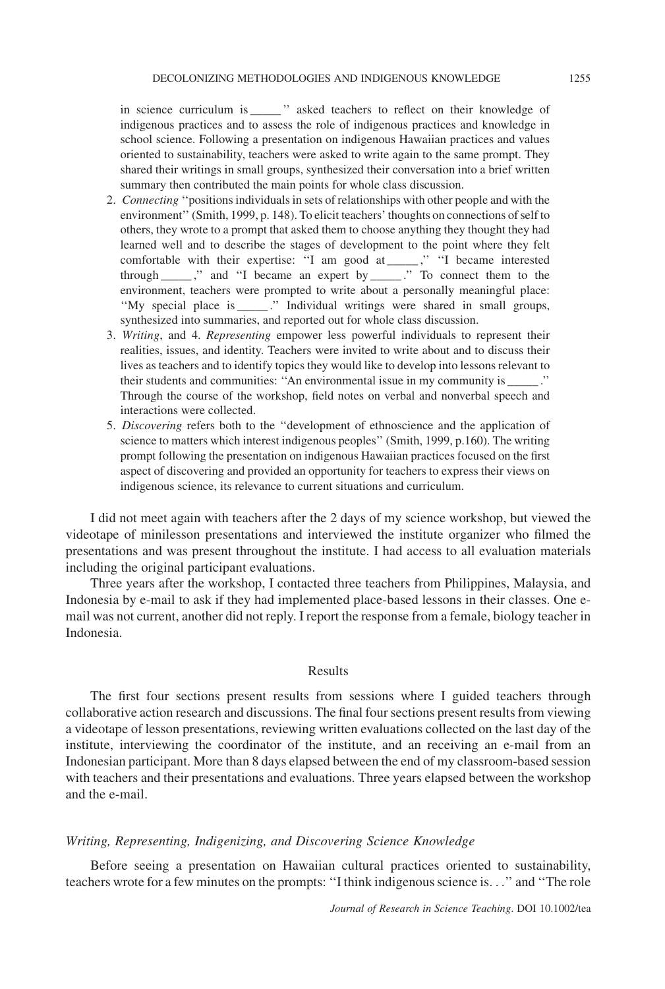in science curriculum is \_\_\_\_\_ "' asked teachers to reflect on their knowledge of indigenous practices and to assess the role of indigenous practices and knowledge in school science. Following a presentation on indigenous Hawaiian practices and values oriented to sustainability, teachers were asked to write again to the same prompt. They shared their writings in small groups, synthesized their conversation into a brief written summary then contributed the main points for whole class discussion.

- 2. Connecting ''positions individuals in sets of relationships with other people and with the environment'' (Smith, 1999, p. 148). To elicit teachers' thoughts on connections of self to others, they wrote to a prompt that asked them to choose anything they thought they had learned well and to describe the stages of development to the point where they felt comfortable with their expertise: ''I am good at \_\_\_\_\_ ,'' ''I became interested through \_\_\_\_\_ ,'' and ''I became an expert by \_\_\_\_\_ .'' To connect them to the environment, teachers were prompted to write about a personally meaningful place: "My special place is \_\_\_\_\_." Individual writings were shared in small groups, synthesized into summaries, and reported out for whole class discussion.
- 3. Writing, and 4. Representing empower less powerful individuals to represent their realities, issues, and identity. Teachers were invited to write about and to discuss their lives as teachers and to identify topics they would like to develop into lessons relevant to their students and communities: ''An environmental issue in my community is \_\_\_\_\_ .'' Through the course of the workshop, field notes on verbal and nonverbal speech and interactions were collected.
- 5. Discovering refers both to the ''development of ethnoscience and the application of science to matters which interest indigenous peoples'' (Smith, 1999, p.160). The writing prompt following the presentation on indigenous Hawaiian practices focused on the first aspect of discovering and provided an opportunity for teachers to express their views on indigenous science, its relevance to current situations and curriculum.

I did not meet again with teachers after the 2 days of my science workshop, but viewed the videotape of minilesson presentations and interviewed the institute organizer who filmed the presentations and was present throughout the institute. I had access to all evaluation materials including the original participant evaluations.

Three years after the workshop, I contacted three teachers from Philippines, Malaysia, and Indonesia by e-mail to ask if they had implemented place-based lessons in their classes. One email was not current, another did not reply. I report the response from a female, biology teacher in Indonesia.

# Results

The first four sections present results from sessions where I guided teachers through collaborative action research and discussions. The final four sections present results from viewing a videotape of lesson presentations, reviewing written evaluations collected on the last day of the institute, interviewing the coordinator of the institute, and an receiving an e-mail from an Indonesian participant. More than 8 days elapsed between the end of my classroom-based session with teachers and their presentations and evaluations. Three years elapsed between the workshop and the e-mail.

# Writing, Representing, Indigenizing, and Discovering Science Knowledge

Before seeing a presentation on Hawaiian cultural practices oriented to sustainability, teachers wrote for a few minutes on the prompts: ''I think indigenous science is...'' and ''The role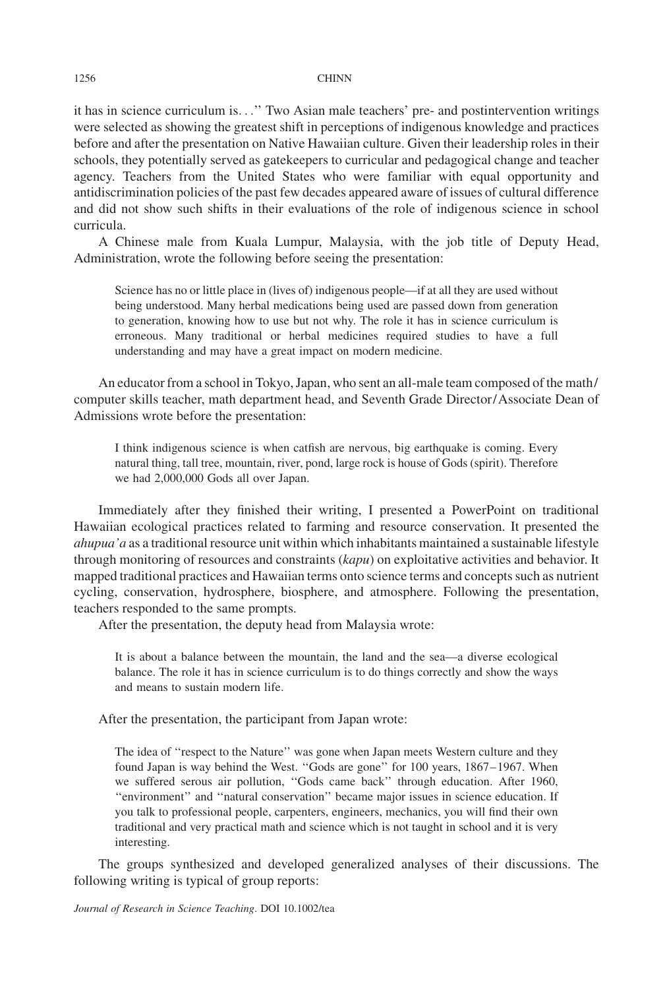it has in science curriculum is...'' Two Asian male teachers' pre- and postintervention writings were selected as showing the greatest shift in perceptions of indigenous knowledge and practices before and after the presentation on Native Hawaiian culture. Given their leadership roles in their schools, they potentially served as gatekeepers to curricular and pedagogical change and teacher agency. Teachers from the United States who were familiar with equal opportunity and antidiscrimination policies of the past few decades appeared aware of issues of cultural difference and did not show such shifts in their evaluations of the role of indigenous science in school curricula.

A Chinese male from Kuala Lumpur, Malaysia, with the job title of Deputy Head, Administration, wrote the following before seeing the presentation:

Science has no or little place in (lives of) indigenous people—if at all they are used without being understood. Many herbal medications being used are passed down from generation to generation, knowing how to use but not why. The role it has in science curriculum is erroneous. Many traditional or herbal medicines required studies to have a full understanding and may have a great impact on modern medicine.

An educator from a school in Tokyo, Japan, who sent an all-male team composed of the math/ computer skills teacher, math department head, and Seventh Grade Director/Associate Dean of Admissions wrote before the presentation:

I think indigenous science is when catfish are nervous, big earthquake is coming. Every natural thing, tall tree, mountain, river, pond, large rock is house of Gods (spirit). Therefore we had 2,000,000 Gods all over Japan.

Immediately after they finished their writing, I presented a PowerPoint on traditional Hawaiian ecological practices related to farming and resource conservation. It presented the ahupua'a as a traditional resource unit within which inhabitants maintained a sustainable lifestyle through monitoring of resources and constraints (kapu) on exploitative activities and behavior. It mapped traditional practices and Hawaiian terms onto science terms and concepts such as nutrient cycling, conservation, hydrosphere, biosphere, and atmosphere. Following the presentation, teachers responded to the same prompts.

After the presentation, the deputy head from Malaysia wrote:

It is about a balance between the mountain, the land and the sea—a diverse ecological balance. The role it has in science curriculum is to do things correctly and show the ways and means to sustain modern life.

After the presentation, the participant from Japan wrote:

The idea of ''respect to the Nature'' was gone when Japan meets Western culture and they found Japan is way behind the West. ''Gods are gone'' for 100 years, 1867–1967. When we suffered serous air pollution, ''Gods came back'' through education. After 1960, ''environment'' and ''natural conservation'' became major issues in science education. If you talk to professional people, carpenters, engineers, mechanics, you will find their own traditional and very practical math and science which is not taught in school and it is very interesting.

The groups synthesized and developed generalized analyses of their discussions. The following writing is typical of group reports: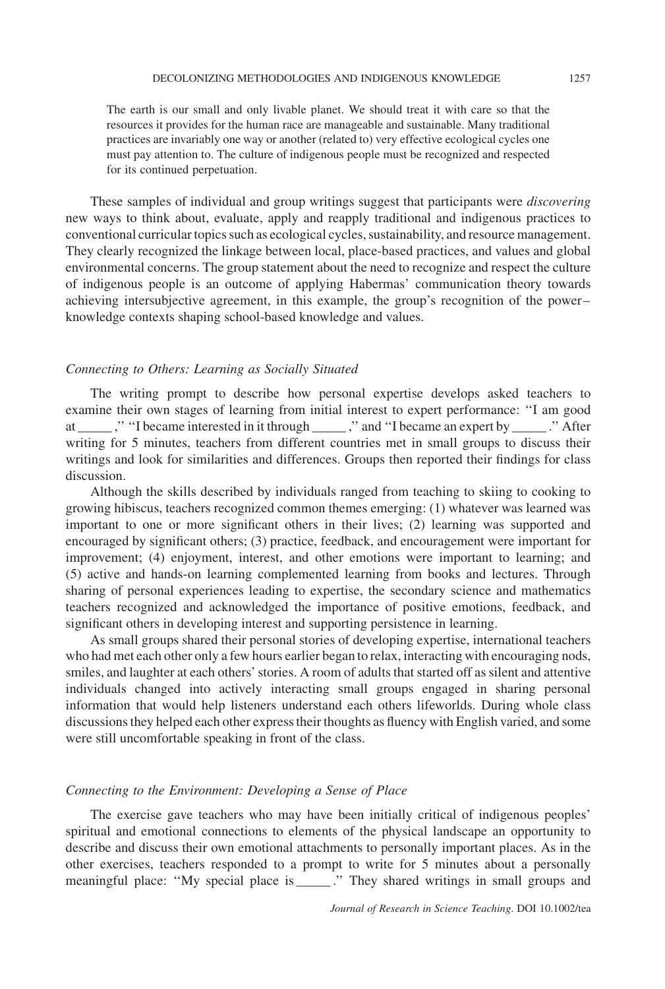The earth is our small and only livable planet. We should treat it with care so that the resources it provides for the human race are manageable and sustainable. Many traditional practices are invariably one way or another (related to) very effective ecological cycles one must pay attention to. The culture of indigenous people must be recognized and respected for its continued perpetuation.

These samples of individual and group writings suggest that participants were *discovering* new ways to think about, evaluate, apply and reapply traditional and indigenous practices to conventional curricular topics such as ecological cycles, sustainability, and resource management. They clearly recognized the linkage between local, place-based practices, and values and global environmental concerns. The group statement about the need to recognize and respect the culture of indigenous people is an outcome of applying Habermas' communication theory towards achieving intersubjective agreement, in this example, the group's recognition of the power– knowledge contexts shaping school-based knowledge and values.

# Connecting to Others: Learning as Socially Situated

The writing prompt to describe how personal expertise develops asked teachers to examine their own stages of learning from initial interest to expert performance: ''I am good at \_\_\_\_\_ ,'' ''I became interested in it through \_\_\_\_\_ ,'' and ''I became an expert by \_\_\_\_\_ .'' After writing for 5 minutes, teachers from different countries met in small groups to discuss their writings and look for similarities and differences. Groups then reported their findings for class discussion.

Although the skills described by individuals ranged from teaching to skiing to cooking to growing hibiscus, teachers recognized common themes emerging: (1) whatever was learned was important to one or more significant others in their lives; (2) learning was supported and encouraged by significant others; (3) practice, feedback, and encouragement were important for improvement; (4) enjoyment, interest, and other emotions were important to learning; and (5) active and hands-on learning complemented learning from books and lectures. Through sharing of personal experiences leading to expertise, the secondary science and mathematics teachers recognized and acknowledged the importance of positive emotions, feedback, and significant others in developing interest and supporting persistence in learning.

As small groups shared their personal stories of developing expertise, international teachers who had met each other only a few hours earlier began to relax, interacting with encouraging nods, smiles, and laughter at each others' stories. A room of adults that started off as silent and attentive individuals changed into actively interacting small groups engaged in sharing personal information that would help listeners understand each others lifeworlds. During whole class discussions they helped each other express their thoughts as fluency with English varied, and some were still uncomfortable speaking in front of the class.

# Connecting to the Environment: Developing a Sense of Place

The exercise gave teachers who may have been initially critical of indigenous peoples' spiritual and emotional connections to elements of the physical landscape an opportunity to describe and discuss their own emotional attachments to personally important places. As in the other exercises, teachers responded to a prompt to write for 5 minutes about a personally meaningful place: "My special place is \_\_\_\_\_." They shared writings in small groups and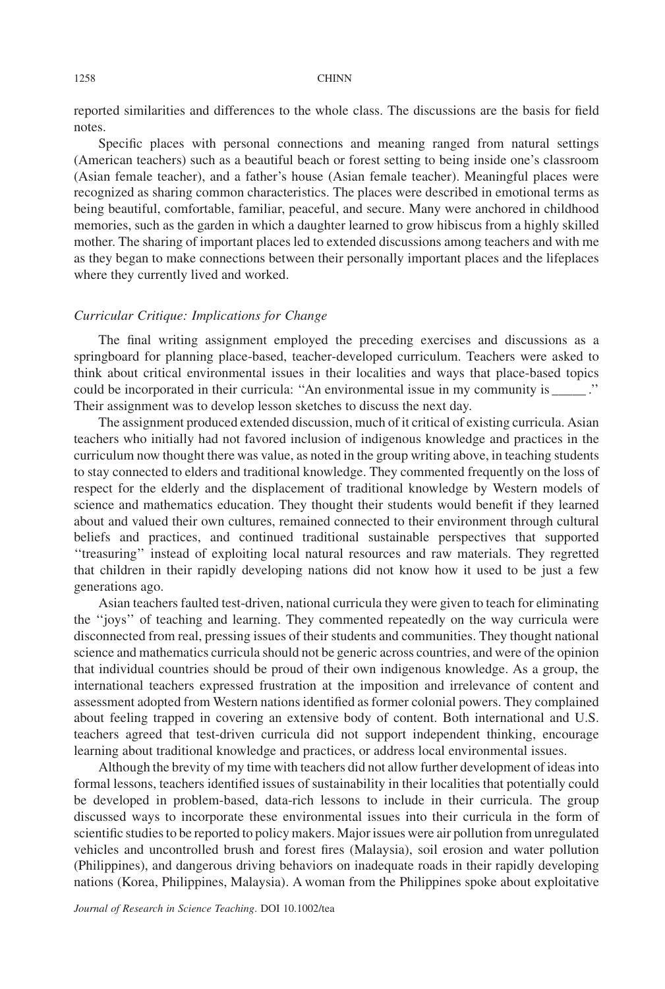reported similarities and differences to the whole class. The discussions are the basis for field notes.

Specific places with personal connections and meaning ranged from natural settings (American teachers) such as a beautiful beach or forest setting to being inside one's classroom (Asian female teacher), and a father's house (Asian female teacher). Meaningful places were recognized as sharing common characteristics. The places were described in emotional terms as being beautiful, comfortable, familiar, peaceful, and secure. Many were anchored in childhood memories, such as the garden in which a daughter learned to grow hibiscus from a highly skilled mother. The sharing of important places led to extended discussions among teachers and with me as they began to make connections between their personally important places and the lifeplaces where they currently lived and worked.

# Curricular Critique: Implications for Change

The final writing assignment employed the preceding exercises and discussions as a springboard for planning place-based, teacher-developed curriculum. Teachers were asked to think about critical environmental issues in their localities and ways that place-based topics could be incorporated in their curricula: ''An environmental issue in my community is \_\_\_\_\_ .'' Their assignment was to develop lesson sketches to discuss the next day.

The assignment produced extended discussion, much of it critical of existing curricula. Asian teachers who initially had not favored inclusion of indigenous knowledge and practices in the curriculum now thought there was value, as noted in the group writing above, in teaching students to stay connected to elders and traditional knowledge. They commented frequently on the loss of respect for the elderly and the displacement of traditional knowledge by Western models of science and mathematics education. They thought their students would benefit if they learned about and valued their own cultures, remained connected to their environment through cultural beliefs and practices, and continued traditional sustainable perspectives that supported ''treasuring'' instead of exploiting local natural resources and raw materials. They regretted that children in their rapidly developing nations did not know how it used to be just a few generations ago.

Asian teachers faulted test-driven, national curricula they were given to teach for eliminating the ''joys'' of teaching and learning. They commented repeatedly on the way curricula were disconnected from real, pressing issues of their students and communities. They thought national science and mathematics curricula should not be generic across countries, and were of the opinion that individual countries should be proud of their own indigenous knowledge. As a group, the international teachers expressed frustration at the imposition and irrelevance of content and assessment adopted from Western nations identified as former colonial powers. They complained about feeling trapped in covering an extensive body of content. Both international and U.S. teachers agreed that test-driven curricula did not support independent thinking, encourage learning about traditional knowledge and practices, or address local environmental issues.

Although the brevity of my time with teachers did not allow further development of ideas into formal lessons, teachers identified issues of sustainability in their localities that potentially could be developed in problem-based, data-rich lessons to include in their curricula. The group discussed ways to incorporate these environmental issues into their curricula in the form of scientific studies to be reported to policy makers. Major issues were air pollution from unregulated vehicles and uncontrolled brush and forest fires (Malaysia), soil erosion and water pollution (Philippines), and dangerous driving behaviors on inadequate roads in their rapidly developing nations (Korea, Philippines, Malaysia). A woman from the Philippines spoke about exploitative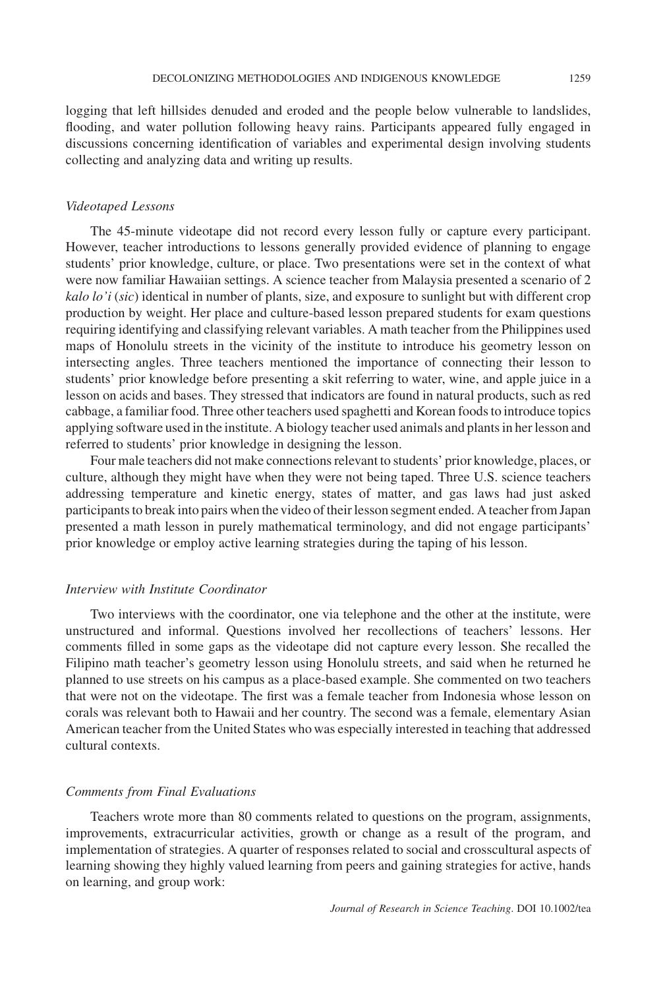logging that left hillsides denuded and eroded and the people below vulnerable to landslides, flooding, and water pollution following heavy rains. Participants appeared fully engaged in discussions concerning identification of variables and experimental design involving students collecting and analyzing data and writing up results.

### Videotaped Lessons

The 45-minute videotape did not record every lesson fully or capture every participant. However, teacher introductions to lessons generally provided evidence of planning to engage students' prior knowledge, culture, or place. Two presentations were set in the context of what were now familiar Hawaiian settings. A science teacher from Malaysia presented a scenario of 2  $kalo\,lo'i (sic)$  identical in number of plants, size, and exposure to sunlight but with different crop production by weight. Her place and culture-based lesson prepared students for exam questions requiring identifying and classifying relevant variables. A math teacher from the Philippines used maps of Honolulu streets in the vicinity of the institute to introduce his geometry lesson on intersecting angles. Three teachers mentioned the importance of connecting their lesson to students' prior knowledge before presenting a skit referring to water, wine, and apple juice in a lesson on acids and bases. They stressed that indicators are found in natural products, such as red cabbage, a familiar food. Three other teachers used spaghetti and Korean foods to introduce topics applying software used in the institute. A biology teacher used animals and plants in her lesson and referred to students' prior knowledge in designing the lesson.

Four male teachers did not make connections relevant to students' prior knowledge, places, or culture, although they might have when they were not being taped. Three U.S. science teachers addressing temperature and kinetic energy, states of matter, and gas laws had just asked participants to break into pairs when the video of their lesson segment ended. A teacher from Japan presented a math lesson in purely mathematical terminology, and did not engage participants' prior knowledge or employ active learning strategies during the taping of his lesson.

### Interview with Institute Coordinator

Two interviews with the coordinator, one via telephone and the other at the institute, were unstructured and informal. Questions involved her recollections of teachers' lessons. Her comments filled in some gaps as the videotape did not capture every lesson. She recalled the Filipino math teacher's geometry lesson using Honolulu streets, and said when he returned he planned to use streets on his campus as a place-based example. She commented on two teachers that were not on the videotape. The first was a female teacher from Indonesia whose lesson on corals was relevant both to Hawaii and her country. The second was a female, elementary Asian American teacher from the United States who was especially interested in teaching that addressed cultural contexts.

### Comments from Final Evaluations

Teachers wrote more than 80 comments related to questions on the program, assignments, improvements, extracurricular activities, growth or change as a result of the program, and implementation of strategies. A quarter of responses related to social and crosscultural aspects of learning showing they highly valued learning from peers and gaining strategies for active, hands on learning, and group work: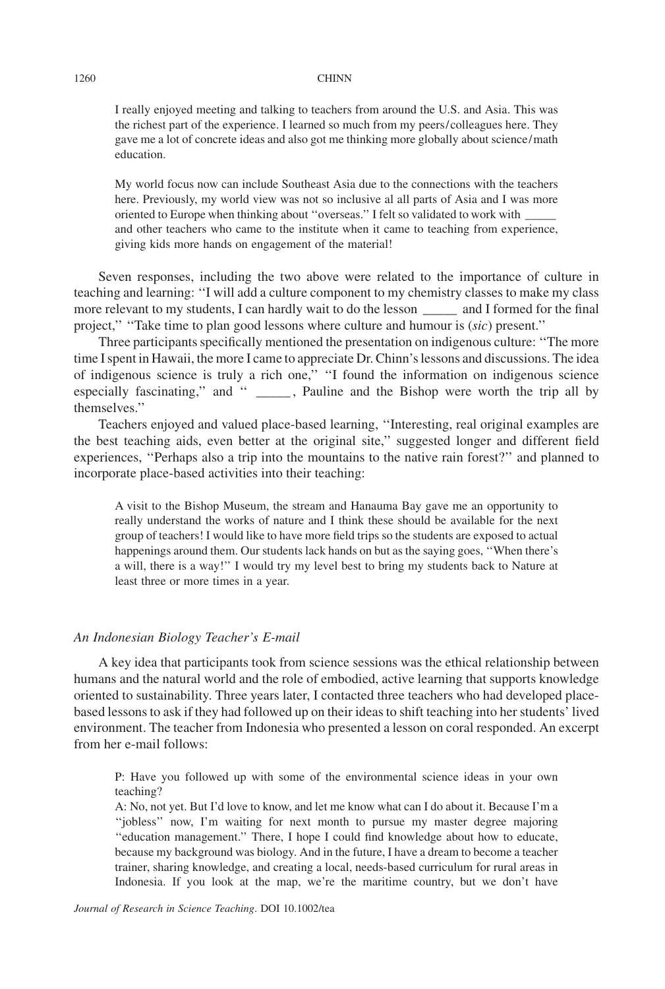I really enjoyed meeting and talking to teachers from around the U.S. and Asia. This was the richest part of the experience. I learned so much from my peers/colleagues here. They gave me a lot of concrete ideas and also got me thinking more globally about science/math education.

My world focus now can include Southeast Asia due to the connections with the teachers here. Previously, my world view was not so inclusive al all parts of Asia and I was more oriented to Europe when thinking about ''overseas.'' I felt so validated to work with \_\_\_\_\_ and other teachers who came to the institute when it came to teaching from experience, giving kids more hands on engagement of the material!

Seven responses, including the two above were related to the importance of culture in teaching and learning: ''I will add a culture component to my chemistry classes to make my class more relevant to my students, I can hardly wait to do the lesson \_\_\_\_\_ and I formed for the final project,'' ''Take time to plan good lessons where culture and humour is (sic) present.''

Three participants specifically mentioned the presentation on indigenous culture: ''The more time I spent in Hawaii, the more I came to appreciate Dr. Chinn's lessons and discussions. The idea of indigenous science is truly a rich one,'' ''I found the information on indigenous science especially fascinating," and " \_\_\_\_\_, Pauline and the Bishop were worth the trip all by themselves.''

Teachers enjoyed and valued place-based learning, ''Interesting, real original examples are the best teaching aids, even better at the original site,'' suggested longer and different field experiences, ''Perhaps also a trip into the mountains to the native rain forest?'' and planned to incorporate place-based activities into their teaching:

A visit to the Bishop Museum, the stream and Hanauma Bay gave me an opportunity to really understand the works of nature and I think these should be available for the next group of teachers! I would like to have more field trips so the students are exposed to actual happenings around them. Our students lack hands on but as the saying goes, ''When there's a will, there is a way!'' I would try my level best to bring my students back to Nature at least three or more times in a year.

# An Indonesian Biology Teacher's E-mail

A key idea that participants took from science sessions was the ethical relationship between humans and the natural world and the role of embodied, active learning that supports knowledge oriented to sustainability. Three years later, I contacted three teachers who had developed placebased lessons to ask if they had followed up on their ideas to shift teaching into her students' lived environment. The teacher from Indonesia who presented a lesson on coral responded. An excerpt from her e-mail follows:

P: Have you followed up with some of the environmental science ideas in your own teaching?

A: No, not yet. But I'd love to know, and let me know what can I do about it. Because I'm a ''jobless'' now, I'm waiting for next month to pursue my master degree majoring ''education management.'' There, I hope I could find knowledge about how to educate, because my background was biology. And in the future, I have a dream to become a teacher trainer, sharing knowledge, and creating a local, needs-based curriculum for rural areas in Indonesia. If you look at the map, we're the maritime country, but we don't have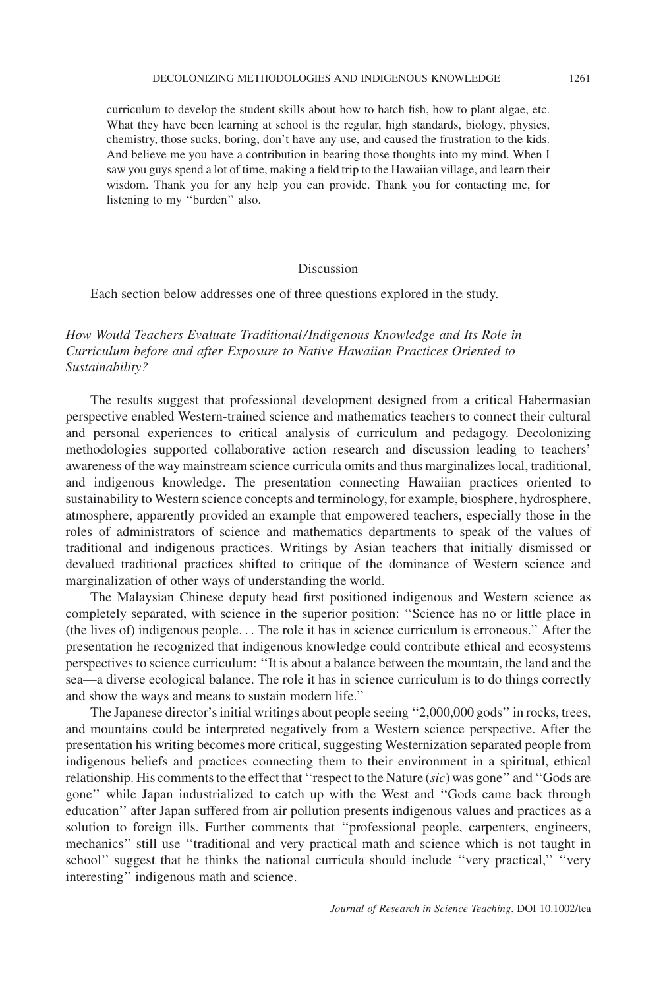curriculum to develop the student skills about how to hatch fish, how to plant algae, etc. What they have been learning at school is the regular, high standards, biology, physics, chemistry, those sucks, boring, don't have any use, and caused the frustration to the kids. And believe me you have a contribution in bearing those thoughts into my mind. When I saw you guys spend a lot of time, making a field trip to the Hawaiian village, and learn their wisdom. Thank you for any help you can provide. Thank you for contacting me, for listening to my ''burden'' also.

### Discussion

Each section below addresses one of three questions explored in the study.

How Would Teachers Evaluate Traditional/Indigenous Knowledge and Its Role in Curriculum before and after Exposure to Native Hawaiian Practices Oriented to Sustainability?

The results suggest that professional development designed from a critical Habermasian perspective enabled Western-trained science and mathematics teachers to connect their cultural and personal experiences to critical analysis of curriculum and pedagogy. Decolonizing methodologies supported collaborative action research and discussion leading to teachers' awareness of the way mainstream science curricula omits and thus marginalizes local, traditional, and indigenous knowledge. The presentation connecting Hawaiian practices oriented to sustainability to Western science concepts and terminology, for example, biosphere, hydrosphere, atmosphere, apparently provided an example that empowered teachers, especially those in the roles of administrators of science and mathematics departments to speak of the values of traditional and indigenous practices. Writings by Asian teachers that initially dismissed or devalued traditional practices shifted to critique of the dominance of Western science and marginalization of other ways of understanding the world.

The Malaysian Chinese deputy head first positioned indigenous and Western science as completely separated, with science in the superior position: ''Science has no or little place in (the lives of) indigenous people... The role it has in science curriculum is erroneous.'' After the presentation he recognized that indigenous knowledge could contribute ethical and ecosystems perspectives to science curriculum: ''It is about a balance between the mountain, the land and the sea—a diverse ecological balance. The role it has in science curriculum is to do things correctly and show the ways and means to sustain modern life.''

The Japanese director's initial writings about people seeing ''2,000,000 gods'' in rocks, trees, and mountains could be interpreted negatively from a Western science perspective. After the presentation his writing becomes more critical, suggesting Westernization separated people from indigenous beliefs and practices connecting them to their environment in a spiritual, ethical relationship. His comments to the effect that ''respect to the Nature (sic) was gone'' and ''Gods are gone'' while Japan industrialized to catch up with the West and ''Gods came back through education'' after Japan suffered from air pollution presents indigenous values and practices as a solution to foreign ills. Further comments that ''professional people, carpenters, engineers, mechanics'' still use ''traditional and very practical math and science which is not taught in school'' suggest that he thinks the national curricula should include ''very practical,'' ''very interesting'' indigenous math and science.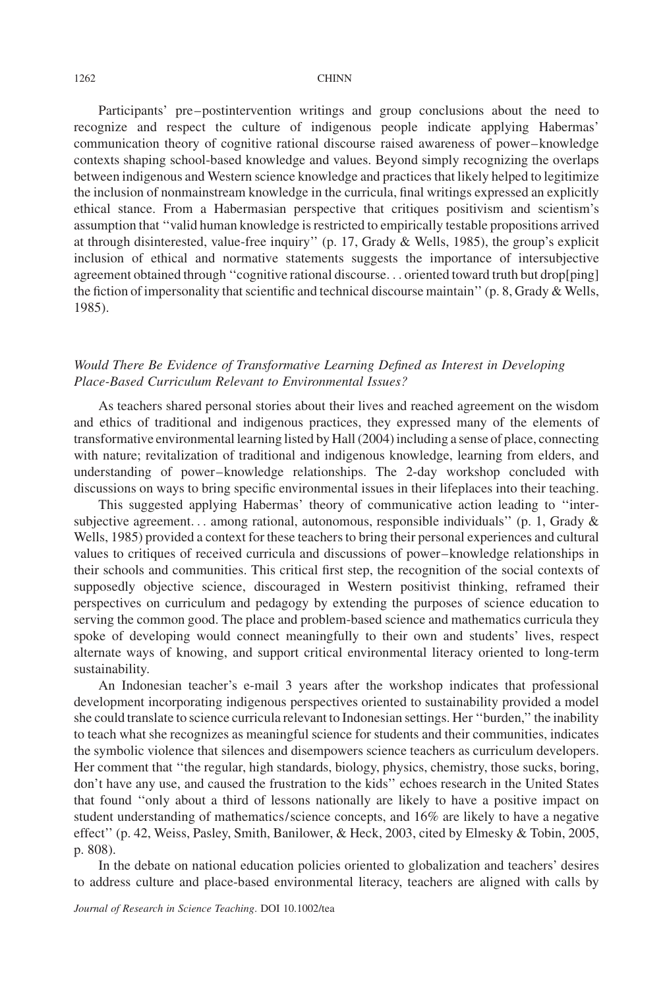Participants' pre–postintervention writings and group conclusions about the need to recognize and respect the culture of indigenous people indicate applying Habermas' communication theory of cognitive rational discourse raised awareness of power–knowledge contexts shaping school-based knowledge and values. Beyond simply recognizing the overlaps between indigenous and Western science knowledge and practices that likely helped to legitimize the inclusion of nonmainstream knowledge in the curricula, final writings expressed an explicitly ethical stance. From a Habermasian perspective that critiques positivism and scientism's assumption that ''valid human knowledge is restricted to empirically testable propositions arrived at through disinterested, value-free inquiry'' (p. 17, Grady & Wells, 1985), the group's explicit inclusion of ethical and normative statements suggests the importance of intersubjective agreement obtained through ''cognitive rational discourse... oriented toward truth but drop[ping] the fiction of impersonality that scientific and technical discourse maintain'' (p. 8, Grady & Wells, 1985).

# Would There Be Evidence of Transformative Learning Defined as Interest in Developing Place-Based Curriculum Relevant to Environmental Issues?

As teachers shared personal stories about their lives and reached agreement on the wisdom and ethics of traditional and indigenous practices, they expressed many of the elements of transformative environmental learning listed by Hall (2004) including a sense of place, connecting with nature; revitalization of traditional and indigenous knowledge, learning from elders, and understanding of power–knowledge relationships. The 2-day workshop concluded with discussions on ways to bring specific environmental issues in their lifeplaces into their teaching.

This suggested applying Habermas' theory of communicative action leading to ''intersubjective agreement... among rational, autonomous, responsible individuals'' (p. 1, Grady & Wells, 1985) provided a context for these teachers to bring their personal experiences and cultural values to critiques of received curricula and discussions of power–knowledge relationships in their schools and communities. This critical first step, the recognition of the social contexts of supposedly objective science, discouraged in Western positivist thinking, reframed their perspectives on curriculum and pedagogy by extending the purposes of science education to serving the common good. The place and problem-based science and mathematics curricula they spoke of developing would connect meaningfully to their own and students' lives, respect alternate ways of knowing, and support critical environmental literacy oriented to long-term sustainability.

An Indonesian teacher's e-mail 3 years after the workshop indicates that professional development incorporating indigenous perspectives oriented to sustainability provided a model she could translate to science curricula relevant to Indonesian settings. Her ''burden,'' the inability to teach what she recognizes as meaningful science for students and their communities, indicates the symbolic violence that silences and disempowers science teachers as curriculum developers. Her comment that ''the regular, high standards, biology, physics, chemistry, those sucks, boring, don't have any use, and caused the frustration to the kids'' echoes research in the United States that found ''only about a third of lessons nationally are likely to have a positive impact on student understanding of mathematics/science concepts, and 16% are likely to have a negative effect'' (p. 42, Weiss, Pasley, Smith, Banilower, & Heck, 2003, cited by Elmesky & Tobin, 2005, p. 808).

In the debate on national education policies oriented to globalization and teachers' desires to address culture and place-based environmental literacy, teachers are aligned with calls by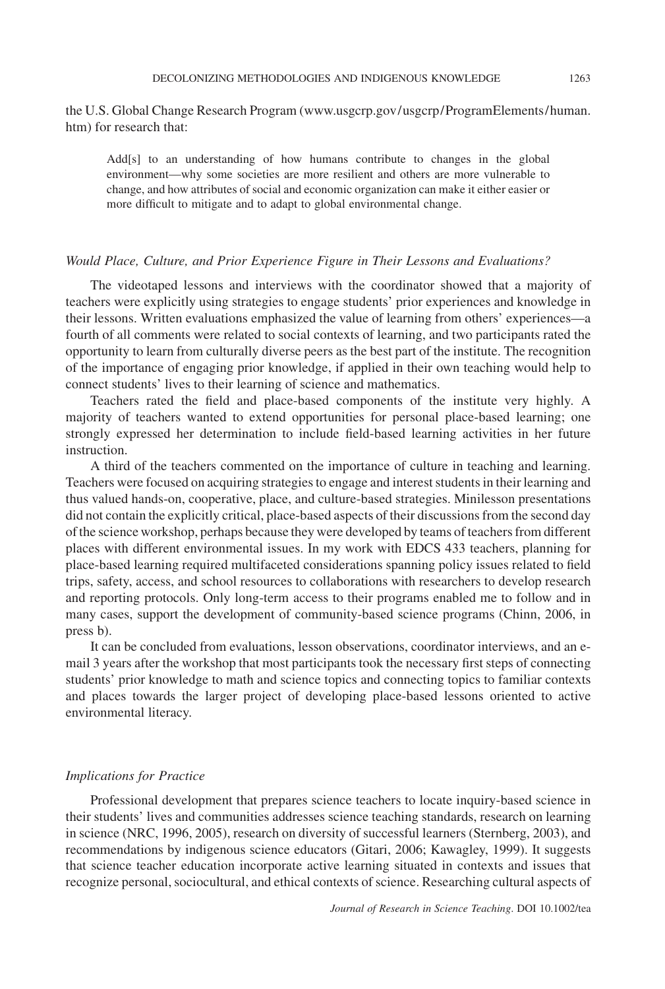the U.S. Global Change Research Program (www.usgcrp.gov/usgcrp/ProgramElements/human. htm) for research that:

Add[s] to an understanding of how humans contribute to changes in the global environment—why some societies are more resilient and others are more vulnerable to change, and how attributes of social and economic organization can make it either easier or more difficult to mitigate and to adapt to global environmental change.

# Would Place, Culture, and Prior Experience Figure in Their Lessons and Evaluations?

The videotaped lessons and interviews with the coordinator showed that a majority of teachers were explicitly using strategies to engage students' prior experiences and knowledge in their lessons. Written evaluations emphasized the value of learning from others' experiences—a fourth of all comments were related to social contexts of learning, and two participants rated the opportunity to learn from culturally diverse peers as the best part of the institute. The recognition of the importance of engaging prior knowledge, if applied in their own teaching would help to connect students' lives to their learning of science and mathematics.

Teachers rated the field and place-based components of the institute very highly. A majority of teachers wanted to extend opportunities for personal place-based learning; one strongly expressed her determination to include field-based learning activities in her future instruction.

A third of the teachers commented on the importance of culture in teaching and learning. Teachers were focused on acquiring strategies to engage and interest students in their learning and thus valued hands-on, cooperative, place, and culture-based strategies. Minilesson presentations did not contain the explicitly critical, place-based aspects of their discussions from the second day of the science workshop, perhaps because they were developed by teams of teachers from different places with different environmental issues. In my work with EDCS 433 teachers, planning for place-based learning required multifaceted considerations spanning policy issues related to field trips, safety, access, and school resources to collaborations with researchers to develop research and reporting protocols. Only long-term access to their programs enabled me to follow and in many cases, support the development of community-based science programs (Chinn, 2006, in press b).

It can be concluded from evaluations, lesson observations, coordinator interviews, and an email 3 years after the workshop that most participants took the necessary first steps of connecting students' prior knowledge to math and science topics and connecting topics to familiar contexts and places towards the larger project of developing place-based lessons oriented to active environmental literacy.

### Implications for Practice

Professional development that prepares science teachers to locate inquiry-based science in their students' lives and communities addresses science teaching standards, research on learning in science (NRC, 1996, 2005), research on diversity of successful learners (Sternberg, 2003), and recommendations by indigenous science educators (Gitari, 2006; Kawagley, 1999). It suggests that science teacher education incorporate active learning situated in contexts and issues that recognize personal, sociocultural, and ethical contexts of science. Researching cultural aspects of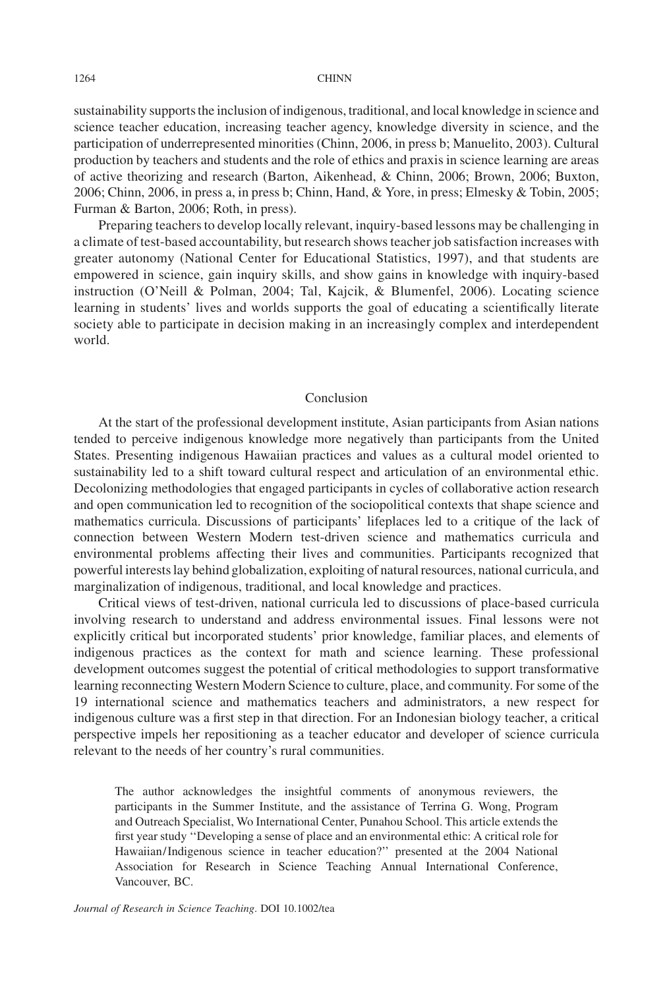sustainability supports the inclusion of indigenous, traditional, and local knowledge in science and science teacher education, increasing teacher agency, knowledge diversity in science, and the participation of underrepresented minorities (Chinn, 2006, in press b; Manuelito, 2003). Cultural production by teachers and students and the role of ethics and praxis in science learning are areas of active theorizing and research (Barton, Aikenhead, & Chinn, 2006; Brown, 2006; Buxton, 2006; Chinn, 2006, in press a, in press b; Chinn, Hand, & Yore, in press; Elmesky & Tobin, 2005; Furman & Barton, 2006; Roth, in press).

Preparing teachers to develop locally relevant, inquiry-based lessons may be challenging in a climate of test-based accountability, but research shows teacher job satisfaction increases with greater autonomy (National Center for Educational Statistics, 1997), and that students are empowered in science, gain inquiry skills, and show gains in knowledge with inquiry-based instruction (O'Neill & Polman, 2004; Tal, Kajcik, & Blumenfel, 2006). Locating science learning in students' lives and worlds supports the goal of educating a scientifically literate society able to participate in decision making in an increasingly complex and interdependent world.

# Conclusion

At the start of the professional development institute, Asian participants from Asian nations tended to perceive indigenous knowledge more negatively than participants from the United States. Presenting indigenous Hawaiian practices and values as a cultural model oriented to sustainability led to a shift toward cultural respect and articulation of an environmental ethic. Decolonizing methodologies that engaged participants in cycles of collaborative action research and open communication led to recognition of the sociopolitical contexts that shape science and mathematics curricula. Discussions of participants' lifeplaces led to a critique of the lack of connection between Western Modern test-driven science and mathematics curricula and environmental problems affecting their lives and communities. Participants recognized that powerful interests lay behind globalization, exploiting of natural resources, national curricula, and marginalization of indigenous, traditional, and local knowledge and practices.

Critical views of test-driven, national curricula led to discussions of place-based curricula involving research to understand and address environmental issues. Final lessons were not explicitly critical but incorporated students' prior knowledge, familiar places, and elements of indigenous practices as the context for math and science learning. These professional development outcomes suggest the potential of critical methodologies to support transformative learning reconnecting Western Modern Science to culture, place, and community. For some of the 19 international science and mathematics teachers and administrators, a new respect for indigenous culture was a first step in that direction. For an Indonesian biology teacher, a critical perspective impels her repositioning as a teacher educator and developer of science curricula relevant to the needs of her country's rural communities.

The author acknowledges the insightful comments of anonymous reviewers, the participants in the Summer Institute, and the assistance of Terrina G. Wong, Program and Outreach Specialist, Wo International Center, Punahou School. This article extends the first year study ''Developing a sense of place and an environmental ethic: A critical role for Hawaiian/Indigenous science in teacher education?'' presented at the 2004 National Association for Research in Science Teaching Annual International Conference, Vancouver, BC.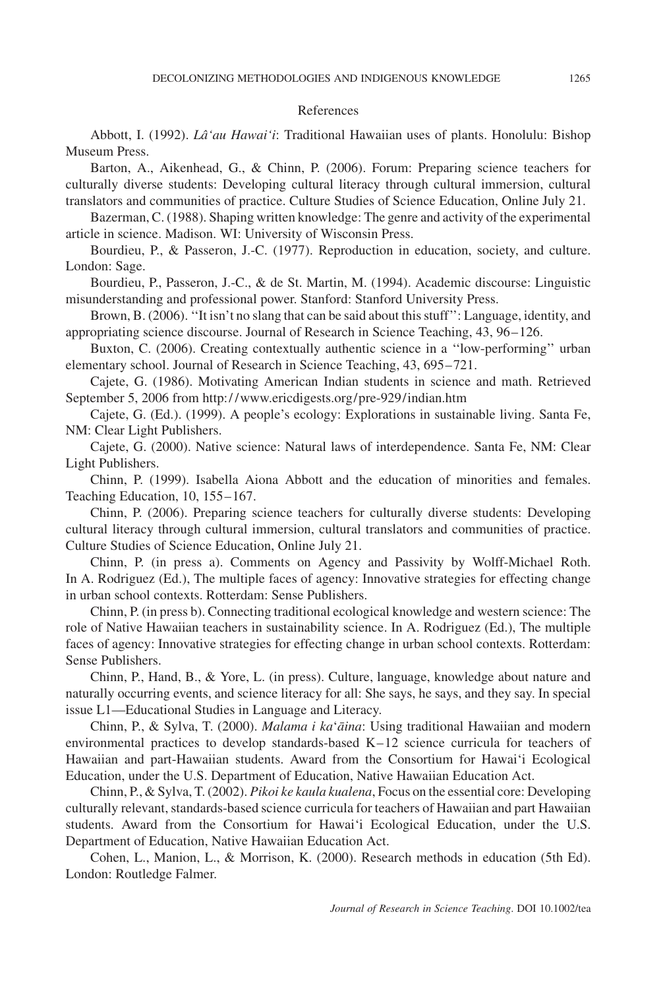### References

Abbott, I. (1992). Lâ´au Hawai'i: Traditional Hawaiian uses of plants. Honolulu: Bishop Museum Press.

Barton, A., Aikenhead, G., & Chinn, P. (2006). Forum: Preparing science teachers for culturally diverse students: Developing cultural literacy through cultural immersion, cultural translators and communities of practice. Culture Studies of Science Education, Online July 21.

Bazerman, C. (1988). Shaping written knowledge: The genre and activity of the experimental article in science. Madison. WI: University of Wisconsin Press.

Bourdieu, P., & Passeron, J.-C. (1977). Reproduction in education, society, and culture. London: Sage.

Bourdieu, P., Passeron, J.-C., & de St. Martin, M. (1994). Academic discourse: Linguistic misunderstanding and professional power. Stanford: Stanford University Press.

Brown, B. (2006). ''It isn't no slang that can be said about this stuff'': Language, identity, and appropriating science discourse. Journal of Research in Science Teaching, 43, 96–126.

Buxton, C. (2006). Creating contextually authentic science in a ''low-performing'' urban elementary school. Journal of Research in Science Teaching, 43, 695–721.

Cajete, G. (1986). Motivating American Indian students in science and math. Retrieved September 5, 2006 from http:/ /www.ericdigests.org/pre-929/indian.htm

Cajete, G. (Ed.). (1999). A people's ecology: Explorations in sustainable living. Santa Fe, NM: Clear Light Publishers.

Cajete, G. (2000). Native science: Natural laws of interdependence. Santa Fe, NM: Clear Light Publishers.

Chinn, P. (1999). Isabella Aiona Abbott and the education of minorities and females. Teaching Education, 10, 155–167.

Chinn, P. (2006). Preparing science teachers for culturally diverse students: Developing cultural literacy through cultural immersion, cultural translators and communities of practice. Culture Studies of Science Education, Online July 21.

Chinn, P. (in press a). Comments on Agency and Passivity by Wolff-Michael Roth. In A. Rodriguez (Ed.), The multiple faces of agency: Innovative strategies for effecting change in urban school contexts. Rotterdam: Sense Publishers.

Chinn, P. (in press b). Connecting traditional ecological knowledge and western science: The role of Native Hawaiian teachers in sustainability science. In A. Rodriguez (Ed.), The multiple faces of agency: Innovative strategies for effecting change in urban school contexts. Rotterdam: Sense Publishers.

Chinn, P., Hand, B., & Yore, L. (in press). Culture, language, knowledge about nature and naturally occurring events, and science literacy for all: She says, he says, and they say. In special issue L1—Educational Studies in Language and Literacy.

Chinn, P., & Sylva, T. (2000). *Malama i ka'aina*: Using traditional Hawaiian and modern environmental practices to develop standards-based K–12 science curricula for teachers of Hawaiian and part-Hawaiian students. Award from the Consortium for Hawai'i Ecological Education, under the U.S. Department of Education, Native Hawaiian Education Act.

Chinn, P., & Sylva, T. (2002). Pikoi ke kaula kualena, Focus on the essential core: Developing culturally relevant, standards-based science curricula for teachers of Hawaiian and part Hawaiian students. Award from the Consortium for Hawai'i Ecological Education, under the U.S. Department of Education, Native Hawaiian Education Act.

Cohen, L., Manion, L., & Morrison, K. (2000). Research methods in education (5th Ed). London: Routledge Falmer.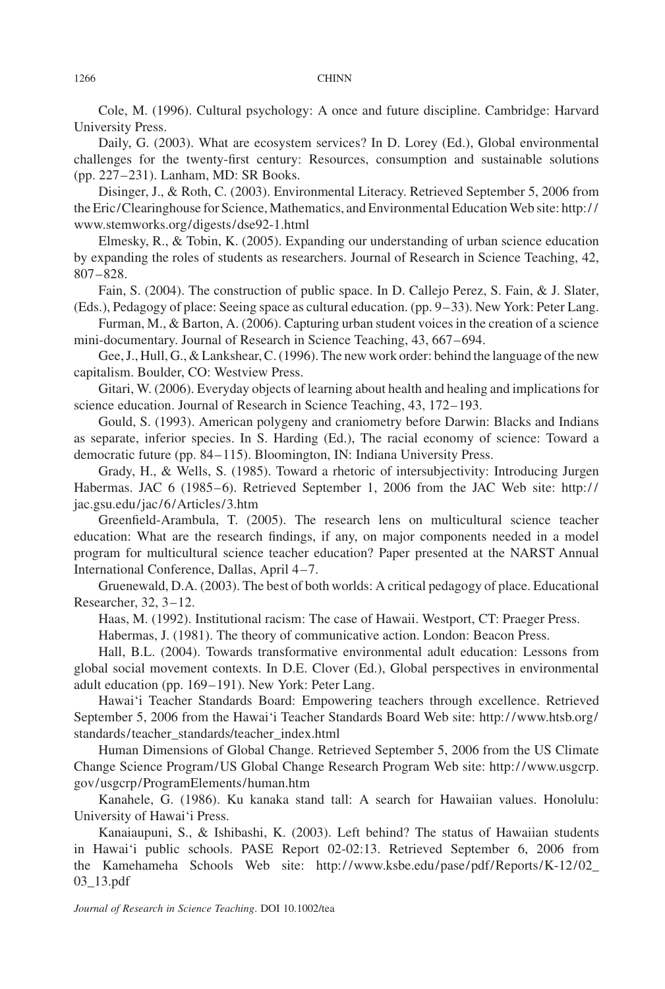Cole, M. (1996). Cultural psychology: A once and future discipline. Cambridge: Harvard University Press.

Daily, G. (2003). What are ecosystem services? In D. Lorey (Ed.), Global environmental challenges for the twenty-first century: Resources, consumption and sustainable solutions (pp. 227–231). Lanham, MD: SR Books.

Disinger, J., & Roth, C. (2003). Environmental Literacy. Retrieved September 5, 2006 from the Eric/Clearinghouse for Science, Mathematics, and Environmental Education Web site: http:/ / www.stemworks.org/digests/dse92-1.html

Elmesky, R., & Tobin, K. (2005). Expanding our understanding of urban science education by expanding the roles of students as researchers. Journal of Research in Science Teaching, 42, 807–828.

Fain, S. (2004). The construction of public space. In D. Callejo Perez, S. Fain, & J. Slater, (Eds.), Pedagogy of place: Seeing space as cultural education. (pp. 9–33). New York: Peter Lang.

Furman, M., & Barton, A. (2006). Capturing urban student voices in the creation of a science mini-documentary. Journal of Research in Science Teaching, 43, 667–694.

Gee, J., Hull, G., & Lankshear, C. (1996). The new work order: behind the language of the new capitalism. Boulder, CO: Westview Press.

Gitari, W. (2006). Everyday objects of learning about health and healing and implications for science education. Journal of Research in Science Teaching, 43, 172–193.

Gould, S. (1993). American polygeny and craniometry before Darwin: Blacks and Indians as separate, inferior species. In S. Harding (Ed.), The racial economy of science: Toward a democratic future (pp. 84–115). Bloomington, IN: Indiana University Press.

Grady, H., & Wells, S. (1985). Toward a rhetoric of intersubjectivity: Introducing Jurgen Habermas. JAC 6 (1985–6). Retrieved September 1, 2006 from the JAC Web site: http:/ / jac.gsu.edu/jac/6/Articles/3.htm

Greenfield-Arambula, T. (2005). The research lens on multicultural science teacher education: What are the research findings, if any, on major components needed in a model program for multicultural science teacher education? Paper presented at the NARST Annual International Conference, Dallas, April 4–7.

Gruenewald, D.A. (2003). The best of both worlds: A critical pedagogy of place. Educational Researcher, 32, 3–12.

Haas, M. (1992). Institutional racism: The case of Hawaii. Westport, CT: Praeger Press.

Habermas, J. (1981). The theory of communicative action. London: Beacon Press.

Hall, B.L. (2004). Towards transformative environmental adult education: Lessons from global social movement contexts. In D.E. Clover (Ed.), Global perspectives in environmental adult education (pp. 169–191). New York: Peter Lang.

Hawai'i Teacher Standards Board: Empowering teachers through excellence. Retrieved September 5, 2006 from the Hawai'i Teacher Standards Board Web site: http:/ /www.htsb.org/ standards/teacher\_standards/teacher\_index.html

Human Dimensions of Global Change. Retrieved September 5, 2006 from the US Climate Change Science Program/US Global Change Research Program Web site: http:/ /www.usgcrp. gov/usgcrp/ProgramElements/human.htm

Kanahele, G. (1986). Ku kanaka stand tall: A search for Hawaiian values. Honolulu: University of Hawai'i Press.

Kanaiaupuni, S., & Ishibashi, K. (2003). Left behind? The status of Hawaiian students in Hawai'i public schools. PASE Report 02-02:13. Retrieved September 6, 2006 from the Kamehameha Schools Web site: http:/ /www.ksbe.edu/pase/pdf/Reports/K-12/02\_ 03\_13.pdf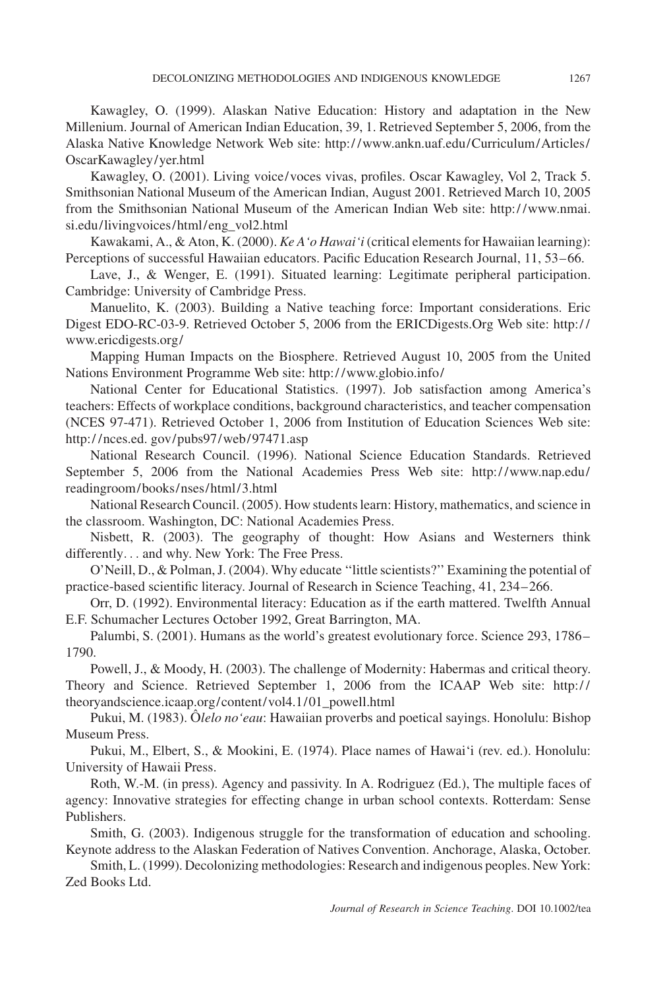Kawagley, O. (1999). Alaskan Native Education: History and adaptation in the New Millenium. Journal of American Indian Education, 39, 1. Retrieved September 5, 2006, from the Alaska Native Knowledge Network Web site: http:/ /www.ankn.uaf.edu/Curriculum/Articles/ OscarKawagley/yer.html

Kawagley, O. (2001). Living voice/voces vivas, profiles. Oscar Kawagley, Vol 2, Track 5. Smithsonian National Museum of the American Indian, August 2001. Retrieved March 10, 2005 from the Smithsonian National Museum of the American Indian Web site: http:/ /www.nmai. si.edu/livingvoices/html/eng\_vol2.html

Kawakami, A., & Aton, K. (2000). Ke A 'o Hawai'i (critical elements for Hawaiian learning): Perceptions of successful Hawaiian educators. Pacific Education Research Journal, 11, 53–66.

Lave, J., & Wenger, E. (1991). Situated learning: Legitimate peripheral participation. Cambridge: University of Cambridge Press.

Manuelito, K. (2003). Building a Native teaching force: Important considerations. Eric Digest EDO-RC-03-9. Retrieved October 5, 2006 from the ERICDigests.Org Web site: http:/ / www.ericdigests.org/

Mapping Human Impacts on the Biosphere. Retrieved August 10, 2005 from the United Nations Environment Programme Web site: http:/ /www.globio.info/

National Center for Educational Statistics. (1997). Job satisfaction among America's teachers: Effects of workplace conditions, background characteristics, and teacher compensation (NCES 97-471). Retrieved October 1, 2006 from Institution of Education Sciences Web site: http:/ /nces.ed. gov/pubs97/web/97471.asp

National Research Council. (1996). National Science Education Standards. Retrieved September 5, 2006 from the National Academies Press Web site: http:/ /www.nap.edu/ readingroom/books/nses/html/3.html

National Research Council. (2005). How students learn: History, mathematics, and science in the classroom. Washington, DC: National Academies Press.

Nisbett, R. (2003). The geography of thought: How Asians and Westerners think differently... and why. New York: The Free Press.

O'Neill, D., & Polman, J. (2004). Why educate ''little scientists?'' Examining the potential of practice-based scientific literacy. Journal of Research in Science Teaching, 41, 234–266.

Orr, D. (1992). Environmental literacy: Education as if the earth mattered. Twelfth Annual E.F. Schumacher Lectures October 1992, Great Barrington, MA.

Palumbi, S. (2001). Humans as the world's greatest evolutionary force. Science 293, 1786– 1790.

Powell, J., & Moody, H. (2003). The challenge of Modernity: Habermas and critical theory. Theory and Science. Retrieved September 1, 2006 from the ICAAP Web site: http:// theoryandscience.icaap.org/content/vol4.1/01\_powell.html

Pukui, M. (1983). Olelo no'eau: Hawaiian proverbs and poetical sayings. Honolulu: Bishop Museum Press.

Pukui, M., Elbert, S., & Mookini, E. (1974). Place names of Hawai'i (rev. ed.). Honolulu: University of Hawaii Press.

Roth, W.-M. (in press). Agency and passivity. In A. Rodriguez (Ed.), The multiple faces of agency: Innovative strategies for effecting change in urban school contexts. Rotterdam: Sense Publishers.

Smith, G. (2003). Indigenous struggle for the transformation of education and schooling. Keynote address to the Alaskan Federation of Natives Convention. Anchorage, Alaska, October.

Smith, L. (1999). Decolonizing methodologies: Research and indigenous peoples. New York: Zed Books Ltd.